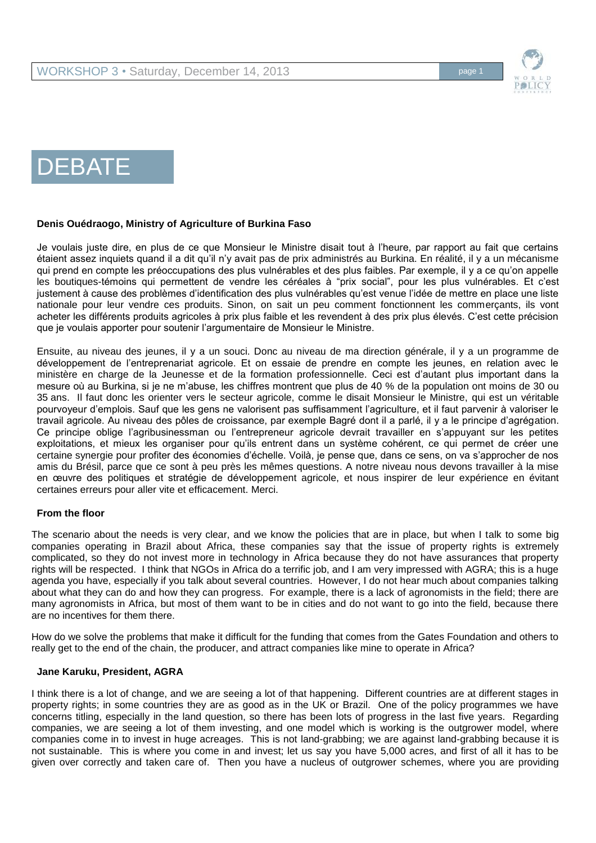

# DEBATE

# **Denis Ouédraogo, Ministry of Agriculture of Burkina Faso**

Je voulais juste dire, en plus de ce que Monsieur le Ministre disait tout à l'heure, par rapport au fait que certains étaient assez inquiets quand il a dit qu'il n'y avait pas de prix administrés au Burkina. En réalité, il y a un mécanisme qui prend en compte les préoccupations des plus vulnérables et des plus faibles. Par exemple, il y a ce qu'on appelle les boutiques-témoins qui permettent de vendre les céréales à "prix social", pour les plus vulnérables. Et c'est justement à cause des problèmes d'identification des plus vulnérables qu'est venue l'idée de mettre en place une liste nationale pour leur vendre ces produits. Sinon, on sait un peu comment fonctionnent les commerçants, ils vont acheter les différents produits agricoles à prix plus faible et les revendent à des prix plus élevés. C'est cette précision que je voulais apporter pour soutenir l'argumentaire de Monsieur le Ministre.

Ensuite, au niveau des jeunes, il y a un souci. Donc au niveau de ma direction générale, il y a un programme de développement de l'entreprenariat agricole. Et on essaie de prendre en compte les jeunes, en relation avec le ministère en charge de la Jeunesse et de la formation professionnelle. Ceci est d'autant plus important dans la mesure où au Burkina, si je ne m'abuse, les chiffres montrent que plus de 40 % de la population ont moins de 30 ou 35 ans. Il faut donc les orienter vers le secteur agricole, comme le disait Monsieur le Ministre, qui est un véritable pourvoyeur d'emplois. Sauf que les gens ne valorisent pas suffisamment l'agriculture, et il faut parvenir à valoriser le travail agricole. Au niveau des pôles de croissance, par exemple Bagré dont il a parlé, il y a le principe d'agrégation. Ce principe oblige l'agribusinessman ou l'entrepreneur agricole devrait travailler en s'appuyant sur les petites exploitations, et mieux les organiser pour qu'ils entrent dans un système cohérent, ce qui permet de créer une certaine synergie pour profiter des économies d'échelle. Voilà, je pense que, dans ce sens, on va s'approcher de nos amis du Brésil, parce que ce sont à peu près les mêmes questions. A notre niveau nous devons travailler à la mise en œuvre des politiques et stratégie de développement agricole, et nous inspirer de leur expérience en évitant certaines erreurs pour aller vite et efficacement. Merci.

#### **From the floor**

The scenario about the needs is very clear, and we know the policies that are in place, but when I talk to some big companies operating in Brazil about Africa, these companies say that the issue of property rights is extremely complicated, so they do not invest more in technology in Africa because they do not have assurances that property rights will be respected. I think that NGOs in Africa do a terrific job, and I am very impressed with AGRA; this is a huge agenda you have, especially if you talk about several countries. However, I do not hear much about companies talking about what they can do and how they can progress. For example, there is a lack of agronomists in the field; there are many agronomists in Africa, but most of them want to be in cities and do not want to go into the field, because there are no incentives for them there.

How do we solve the problems that make it difficult for the funding that comes from the Gates Foundation and others to really get to the end of the chain, the producer, and attract companies like mine to operate in Africa?

#### **Jane Karuku, President, AGRA**

I think there is a lot of change, and we are seeing a lot of that happening. Different countries are at different stages in property rights; in some countries they are as good as in the UK or Brazil. One of the policy programmes we have concerns titling, especially in the land question, so there has been lots of progress in the last five years. Regarding companies, we are seeing a lot of them investing, and one model which is working is the outgrower model, where companies come in to invest in huge acreages. This is not land-grabbing; we are against land-grabbing because it is not sustainable. This is where you come in and invest; let us say you have 5,000 acres, and first of all it has to be given over correctly and taken care of. Then you have a nucleus of outgrower schemes, where you are providing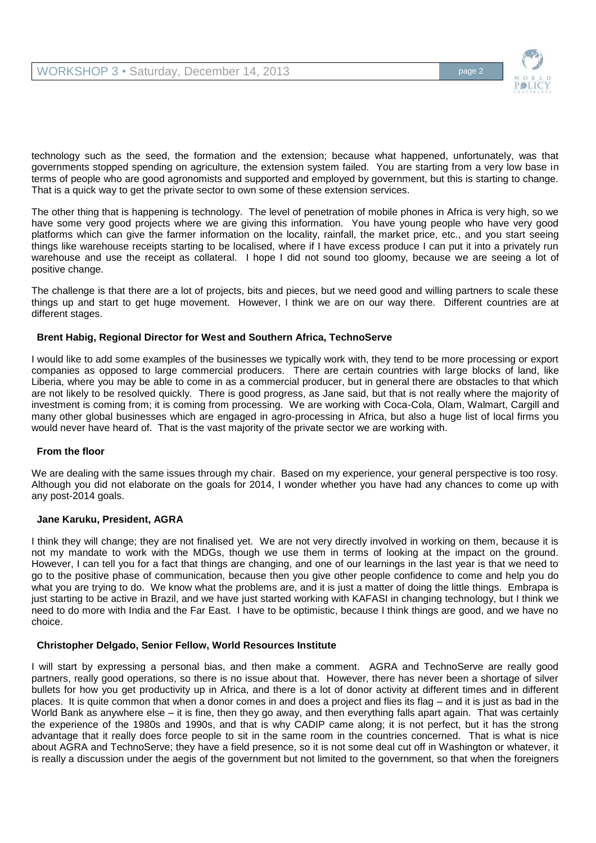

technology such as the seed, the formation and the extension; because what happened, unfortunately, was that governments stopped spending on agriculture, the extension system failed. You are starting from a very low base in terms of people who are good agronomists and supported and employed by government, but this is starting to change. That is a quick way to get the private sector to own some of these extension services.

The other thing that is happening is technology. The level of penetration of mobile phones in Africa is very high, so we have some very good projects where we are giving this information. You have young people who have very good platforms which can give the farmer information on the locality, rainfall, the market price, etc., and you start seeing things like warehouse receipts starting to be localised, where if I have excess produce I can put it into a privately run warehouse and use the receipt as collateral. I hope I did not sound too gloomy, because we are seeing a lot of positive change.

The challenge is that there are a lot of projects, bits and pieces, but we need good and willing partners to scale these things up and start to get huge movement. However, I think we are on our way there. Different countries are at different stages.

## **Brent Habig, Regional Director for West and Southern Africa, TechnoServe**

I would like to add some examples of the businesses we typically work with, they tend to be more processing or export companies as opposed to large commercial producers. There are certain countries with large blocks of land, like Liberia, where you may be able to come in as a commercial producer, but in general there are obstacles to that which are not likely to be resolved quickly. There is good progress, as Jane said, but that is not really where the majority of investment is coming from; it is coming from processing. We are working with Coca-Cola, Olam, Walmart, Cargill and many other global businesses which are engaged in agro-processing in Africa, but also a huge list of local firms you would never have heard of. That is the vast majority of the private sector we are working with.

#### **From the floor**

We are dealing with the same issues through my chair. Based on my experience, your general perspective is too rosy. Although you did not elaborate on the goals for 2014, I wonder whether you have had any chances to come up with any post-2014 goals.

#### **Jane Karuku, President, AGRA**

I think they will change; they are not finalised yet. We are not very directly involved in working on them, because it is not my mandate to work with the MDGs, though we use them in terms of looking at the impact on the ground. However, I can tell you for a fact that things are changing, and one of our learnings in the last year is that we need to go to the positive phase of communication, because then you give other people confidence to come and help you do what you are trying to do. We know what the problems are, and it is just a matter of doing the little things. Embrapa is just starting to be active in Brazil, and we have just started working with KAFASI in changing technology, but I think we need to do more with India and the Far East. I have to be optimistic, because I think things are good, and we have no choice.

#### **Christopher Delgado, Senior Fellow, World Resources Institute**

I will start by expressing a personal bias, and then make a comment. AGRA and TechnoServe are really good partners, really good operations, so there is no issue about that. However, there has never been a shortage of silver bullets for how you get productivity up in Africa, and there is a lot of donor activity at different times and in different places. It is quite common that when a donor comes in and does a project and flies its flag – and it is just as bad in the World Bank as anywhere else – it is fine, then they go away, and then everything falls apart again. That was certainly the experience of the 1980s and 1990s, and that is why CADIP came along; it is not perfect, but it has the strong advantage that it really does force people to sit in the same room in the countries concerned. That is what is nice about AGRA and TechnoServe; they have a field presence, so it is not some deal cut off in Washington or whatever, it is really a discussion under the aegis of the government but not limited to the government, so that when the foreigners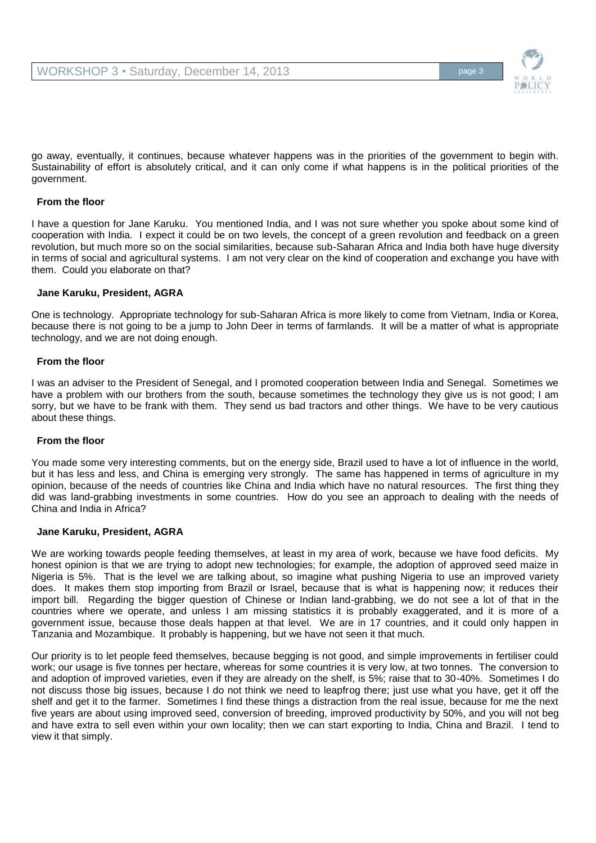go away, eventually, it continues, because whatever happens was in the priorities of the government to begin with. Sustainability of effort is absolutely critical, and it can only come if what happens is in the political priorities of the government.

## **From the floor**

I have a question for Jane Karuku. You mentioned India, and I was not sure whether you spoke about some kind of cooperation with India. I expect it could be on two levels, the concept of a green revolution and feedback on a green revolution, but much more so on the social similarities, because sub-Saharan Africa and India both have huge diversity in terms of social and agricultural systems. I am not very clear on the kind of cooperation and exchange you have with them. Could you elaborate on that?

#### **Jane Karuku, President, AGRA**

One is technology. Appropriate technology for sub-Saharan Africa is more likely to come from Vietnam, India or Korea, because there is not going to be a jump to John Deer in terms of farmlands. It will be a matter of what is appropriate technology, and we are not doing enough.

#### **From the floor**

I was an adviser to the President of Senegal, and I promoted cooperation between India and Senegal. Sometimes we have a problem with our brothers from the south, because sometimes the technology they give us is not good; I am sorry, but we have to be frank with them. They send us bad tractors and other things. We have to be very cautious about these things.

#### **From the floor**

You made some very interesting comments, but on the energy side, Brazil used to have a lot of influence in the world, but it has less and less, and China is emerging very strongly. The same has happened in terms of agriculture in my opinion, because of the needs of countries like China and India which have no natural resources. The first thing they did was land-grabbing investments in some countries. How do you see an approach to dealing with the needs of China and India in Africa?

#### **Jane Karuku, President, AGRA**

We are working towards people feeding themselves, at least in my area of work, because we have food deficits. My honest opinion is that we are trying to adopt new technologies; for example, the adoption of approved seed maize in Nigeria is 5%. That is the level we are talking about, so imagine what pushing Nigeria to use an improved variety does. It makes them stop importing from Brazil or Israel, because that is what is happening now; it reduces their import bill. Regarding the bigger question of Chinese or Indian land-grabbing, we do not see a lot of that in the countries where we operate, and unless I am missing statistics it is probably exaggerated, and it is more of a government issue, because those deals happen at that level. We are in 17 countries, and it could only happen in Tanzania and Mozambique. It probably is happening, but we have not seen it that much.

Our priority is to let people feed themselves, because begging is not good, and simple improvements in fertiliser could work; our usage is five tonnes per hectare, whereas for some countries it is very low, at two tonnes. The conversion to and adoption of improved varieties, even if they are already on the shelf, is 5%; raise that to 30-40%. Sometimes I do not discuss those big issues, because I do not think we need to leapfrog there; just use what you have, get it off the shelf and get it to the farmer. Sometimes I find these things a distraction from the real issue, because for me the next five years are about using improved seed, conversion of breeding, improved productivity by 50%, and you will not beg and have extra to sell even within your own locality; then we can start exporting to India, China and Brazil. I tend to view it that simply.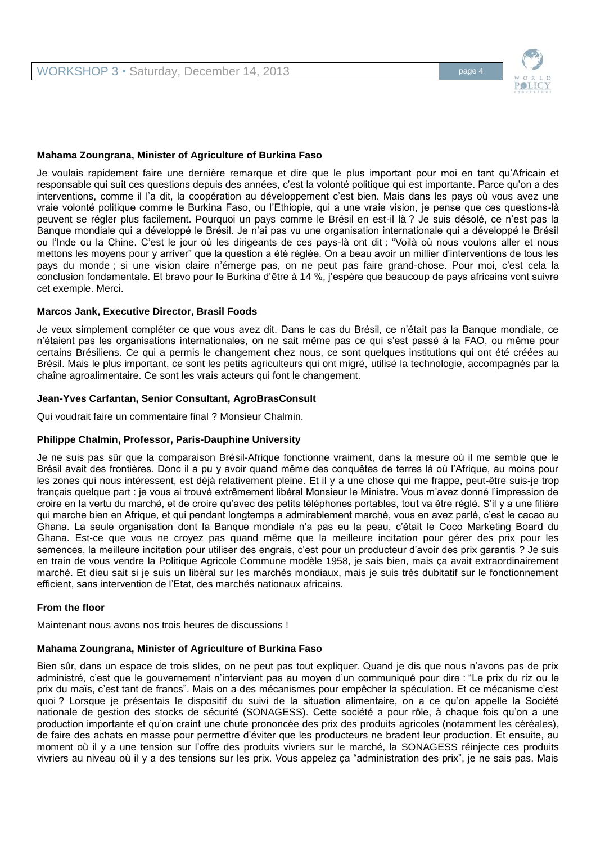

Je voulais rapidement faire une dernière remarque et dire que le plus important pour moi en tant qu'Africain et responsable qui suit ces questions depuis des années, c'est la volonté politique qui est importante. Parce qu'on a des interventions, comme il l'a dit, la coopération au développement c'est bien. Mais dans les pays où vous avez une vraie volonté politique comme le Burkina Faso, ou l'Ethiopie, qui a une vraie vision, je pense que ces questions-là peuvent se régler plus facilement. Pourquoi un pays comme le Brésil en est-il là ? Je suis désolé, ce n'est pas la Banque mondiale qui a développé le Brésil. Je n'ai pas vu une organisation internationale qui a développé le Brésil ou l'Inde ou la Chine. C'est le jour où les dirigeants de ces pays-là ont dit : "Voilà où nous voulons aller et nous mettons les moyens pour y arriver" que la question a été réglée. On a beau avoir un millier d'interventions de tous les pays du monde ; si une vision claire n'émerge pas, on ne peut pas faire grand-chose. Pour moi, c'est cela la conclusion fondamentale. Et bravo pour le Burkina d'être à 14 %, j'espère que beaucoup de pays africains vont suivre cet exemple. Merci.

#### **Marcos Jank, Executive Director, Brasil Foods**

Je veux simplement compléter ce que vous avez dit. Dans le cas du Brésil, ce n'était pas la Banque mondiale, ce n'étaient pas les organisations internationales, on ne sait même pas ce qui s'est passé à la FAO, ou même pour certains Brésiliens. Ce qui a permis le changement chez nous, ce sont quelques institutions qui ont été créées au Brésil. Mais le plus important, ce sont les petits agriculteurs qui ont migré, utilisé la technologie, accompagnés par la chaîne agroalimentaire. Ce sont les vrais acteurs qui font le changement.

## **Jean-Yves Carfantan, Senior Consultant, AgroBrasConsult**

Qui voudrait faire un commentaire final ? Monsieur Chalmin.

#### **Philippe Chalmin, Professor, Paris-Dauphine University**

Je ne suis pas sûr que la comparaison Brésil-Afrique fonctionne vraiment, dans la mesure où il me semble que le Brésil avait des frontières. Donc il a pu y avoir quand même des conquêtes de terres là où l'Afrique, au moins pour les zones qui nous intéressent, est déjà relativement pleine. Et il y a une chose qui me frappe, peut-être suis-je trop français quelque part : je vous ai trouvé extrêmement libéral Monsieur le Ministre. Vous m'avez donné l'impression de croire en la vertu du marché, et de croire qu'avec des petits téléphones portables, tout va être réglé. S'il y a une filière qui marche bien en Afrique, et qui pendant longtemps a admirablement marché, vous en avez parlé, c'est le cacao au Ghana. La seule organisation dont la Banque mondiale n'a pas eu la peau, c'était le Coco Marketing Board du Ghana. Est-ce que vous ne croyez pas quand même que la meilleure incitation pour gérer des prix pour les semences, la meilleure incitation pour utiliser des engrais, c'est pour un producteur d'avoir des prix garantis ? Je suis en train de vous vendre la Politique Agricole Commune modèle 1958, je sais bien, mais ça avait extraordinairement marché. Et dieu sait si je suis un libéral sur les marchés mondiaux, mais je suis très dubitatif sur le fonctionnement efficient, sans intervention de l'Etat, des marchés nationaux africains.

#### **From the floor**

Maintenant nous avons nos trois heures de discussions !

#### **Mahama Zoungrana, Minister of Agriculture of Burkina Faso**

Bien sûr, dans un espace de trois slides, on ne peut pas tout expliquer. Quand je dis que nous n'avons pas de prix administré, c'est que le gouvernement n'intervient pas au moyen d'un communiqué pour dire : "Le prix du riz ou le prix du maïs, c'est tant de francs". Mais on a des mécanismes pour empêcher la spéculation. Et ce mécanisme c'est quoi ? Lorsque je présentais le dispositif du suivi de la situation alimentaire, on a ce qu'on appelle la Société nationale de gestion des stocks de sécurité (SONAGESS). Cette société a pour rôle, à chaque fois qu'on a une production importante et qu'on craint une chute prononcée des prix des produits agricoles (notamment les céréales), de faire des achats en masse pour permettre d'éviter que les producteurs ne bradent leur production. Et ensuite, au moment où il y a une tension sur l'offre des produits vivriers sur le marché, la SONAGESS réinjecte ces produits vivriers au niveau où il y a des tensions sur les prix. Vous appelez ça "administration des prix", je ne sais pas. Mais